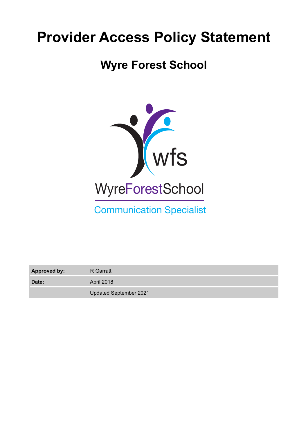# **Provider Access Policy Statement**

# **Wyre Forest School**



Communication Specialist

**Approved by:** R Garratt

Date: April 2018

Updated September 2021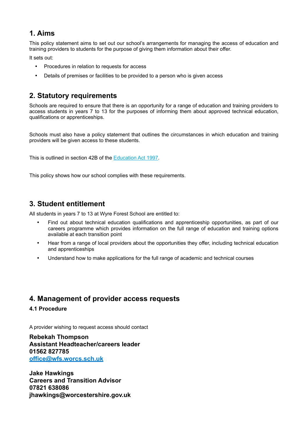# **1. Aims**

This policy statement aims to set out our school's arrangements for managing the access of education and training providers to students for the purpose of giving them information about their offer.

It sets out:

- Procedures in relation to requests for access
- Details of premises or facilities to be provided to a person who is given access

# **2. Statutory requirements**

Schools are required to ensure that there is an opportunity for a range of education and training providers to access students in years 7 to 13 for the purposes of informing them about approved technical education, qualifications or apprenticeships.

Schools must also have a policy statement that outlines the circumstances in which education and training providers will be given access to these students.

This is outlined in section 42B of the [Education Act 1997](https://www.legislation.gov.uk/ukpga/1997/44/section/42B).

This policy shows how our school complies with these requirements.

# **3. Student entitlement**

All students in years 7 to 13 at Wyre Forest School are entitled to:

- Find out about technical education qualifications and apprenticeship opportunities, as part of our careers programme which provides information on the full range of education and training options available at each transition point
- Hear from a range of local providers about the opportunities they offer, including technical education and apprenticeships
- Understand how to make applications for the full range of academic and technical courses

### **4. Management of provider access requests**

#### **4.1 Procedure**

A provider wishing to request access should contact

**Rebekah Thompson Assistant Headteacher/careers leader 01562 827785 [office@wfs.worcs.sch.uk](mailto:office@wfs.worcs.sch.uk)**

**Jake Hawkings Careers and Transition Advisor 07821 638086 jhawkings@worcestershire.gov.uk**